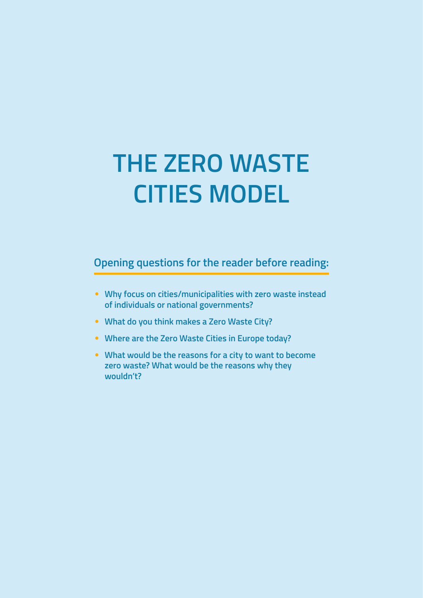# **THE ZERO WASTE CITIES MODEL**

**Opening questions for the reader before reading:**

- **Why focus on cities/municipalities with zero waste instead of individuals or national governments?**
- **What do you think makes a Zero Waste City?**
- **Where are the Zero Waste Cities in Europe today?**
- **What would be the reasons for a city to want to become zero waste? What would be the reasons why they wouldn't?**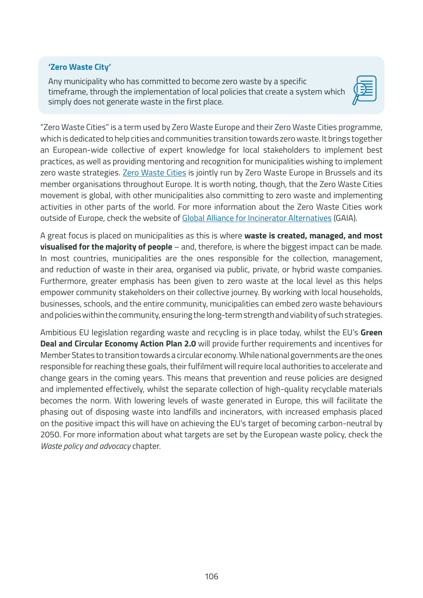#### **'Zero Waste City'**

Any municipality who has committed to become zero waste by a specific timeframe, through the implementation of local policies that create a system which simply does not generate waste in the first place.



"Zero Waste Cities" is a term used by Zero Waste Europe and their Zero Waste Cities programme, which is dedicated to help cities and communities transition towards zero waste. It brings together an European-wide collective of expert knowledge for local stakeholders to implement best practices, as well as providing mentoring and recognition for municipalities wishing to implement zero waste strategies. [Zero Waste Cities](https://zerowastecities.eu/) is jointly run by Zero Waste Europe in Brussels and its member organisations throughout Europe. It is worth noting, though, that the Zero Waste Cities movement is global, with other municipalities also committing to zero waste and implementing activities in other parts of the world. For more information about the Zero Waste Cities work outside of Europe, check the website of [Global Alliance for Incinerator Alternatives](https://www.no-burn.org/global-community/) (GAIA).

A great focus is placed on municipalities as this is where **waste is created, managed, and most visualised for the majority of people** – and, therefore, is where the biggest impact can be made. In most countries, municipalities are the ones responsible for the collection, management, and reduction of waste in their area, organised via public, private, or hybrid waste companies. Furthermore, greater emphasis has been given to zero waste at the local level as this helps empower community stakeholders on their collective journey. By working with local households, businesses, schools, and the entire community, municipalities can embed zero waste behaviours and policies within the community, ensuring the long-term strength and viability of such strategies.

Ambitious EU legislation regarding waste and recycling is in place today, whilst the EU's **Green Deal and Circular Economy Action Plan 2.0** will provide further requirements and incentives for Member States to transition towards a circular economy. While national governments are the ones responsible for reaching these goals, their fulfilment will require local authorities to accelerate and change gears in the coming years. This means that prevention and reuse policies are designed and implemented effectively, whilst the separate collection of high-quality recyclable materials becomes the norm. With lowering levels of waste generated in Europe, this will facilitate the phasing out of disposing waste into landfills and incinerators, with increased emphasis placed on the positive impact this will have on achieving the EU's target of becoming carbon-neutral by 2050. For more information about what targets are set by the European waste policy, check the *Waste policy and advocacy* chapter.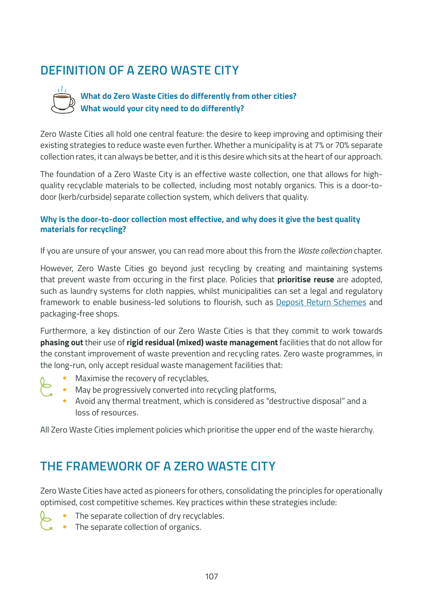# **DEFINITION OF A ZERO WASTE CITY**



## **What do Zero Waste Cities do differently from other cities? What would your city need to do differently?**

Zero Waste Cities all hold one central feature: the desire to keep improving and optimising their existing strategies to reduce waste even further. Whether a municipality is at 7% or 70% separate collection rates, it can always be better, and it is this desire which sits at the heart of our approach.

The foundation of a Zero Waste City is an effective waste collection, one that allows for highquality recyclable materials to be collected, including most notably organics. This is a door-todoor (kerb/curbside) separate collection system, which delivers that quality.

#### **Why is the door-to-door collection most effective, and why does it give the best quality materials for recycling?**

If you are unsure of your answer, you can read more about this from the *Waste collection* chapter.

However, Zero Waste Cities go beyond just recycling by creating and maintaining systems that prevent waste from occuring in the first place. Policies that **prioritise reuse** are adopted, such as laundry systems for cloth nappies, whilst municipalities can set a legal and regulatory framework to enable business-led solutions to flourish, such as [Deposit Return Schemes](https://zerowasteeurope.eu/library/deposit-return-systems-drs-manifesto/) and packaging-free shops.

Furthermore, a key distinction of our Zero Waste Cities is that they commit to work towards **phasing out** their use of **rigid residual (mixed) waste management** facilities that do not allow for the constant improvement of waste prevention and recycling rates. Zero waste programmes, in the long-run, only accept residual waste management facilities that:

- Maximise the recovery of recyclables,
	- May be progressively converted into recycling platforms,
		- Avoid any thermal treatment, which is considered as "destructive disposal" and a loss of resources.

All Zero Waste Cities implement policies which prioritise the upper end of the waste hierarchy.

# **THE FRAMEWORK OF A ZERO WASTE CITY**

Zero Waste Cities have acted as pioneers for others, consolidating the principles for operationally optimised, cost competitive schemes. Key practices within these strategies include:

- The separate collection of dry recyclables.
	- The separate collection of organics.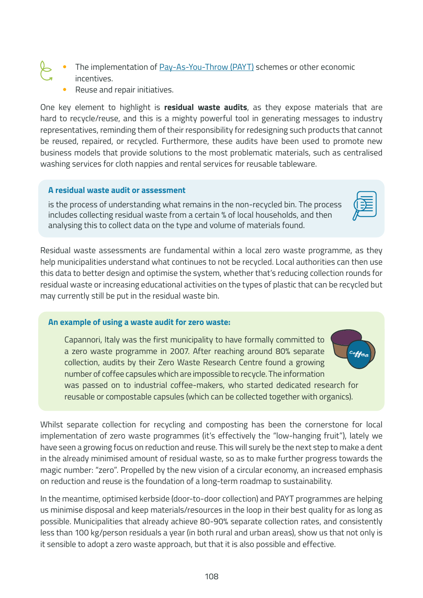- The implementation of [Pay-As-You-Throw \(PAYT\)](https://greenbestpractice.jrc.ec.europa.eu/node/7) schemes or other economic incentives.
	- Reuse and repair initiatives.

One key element to highlight is **residual waste audits**, as they expose materials that are hard to recycle/reuse, and this is a mighty powerful tool in generating messages to industry representatives, reminding them of their responsibility for redesigning such products that cannot be reused, repaired, or recycled. Furthermore, these audits have been used to promote new business models that provide solutions to the most problematic materials, such as centralised washing services for cloth nappies and rental services for reusable tableware.

#### **A residual waste audit or assessment**

is the process of understanding what remains in the non-recycled bin. The process includes collecting residual waste from a certain % of local households, and then analysing this to collect data on the type and volume of materials found.

Residual waste assessments are fundamental within a local zero waste programme, as they help municipalities understand what continues to not be recycled. Local authorities can then use this data to better design and optimise the system, whether that's reducing collection rounds for residual waste or increasing educational activities on the types of plastic that can be recycled but may currently still be put in the residual waste bin.

#### **An example of using a waste audit for zero waste:**

Capannori, Italy was the first municipality to have formally committed to a zero waste programme in 2007. After reaching around 80% separate collection, audits by their Zero Waste Research Centre found a growing number of coffee capsules which are impossible to recycle. The information was passed on to industrial coffee-makers, who started dedicated research for reusable or compostable capsules (which can be collected together with organics).

Whilst separate collection for recycling and composting has been the cornerstone for local implementation of zero waste programmes (it's effectively the "low-hanging fruit"), lately we have seen a growing focus on reduction and reuse. This will surely be the next step to make a dent in the already minimised amount of residual waste, so as to make further progress towards the magic number: "zero". Propelled by the new vision of a circular economy, an increased emphasis on reduction and reuse is the foundation of a long-term roadmap to sustainability.

In the meantime, optimised kerbside (door-to-door collection) and PAYT programmes are helping us minimise disposal and keep materials/resources in the loop in their best quality for as long as possible. Municipalities that already achieve 80-90% separate collection rates, and consistently less than 100 kg/person residuals a year (in both rural and urban areas), show us that not only is it sensible to adopt a zero waste approach, but that it is also possible and effective.



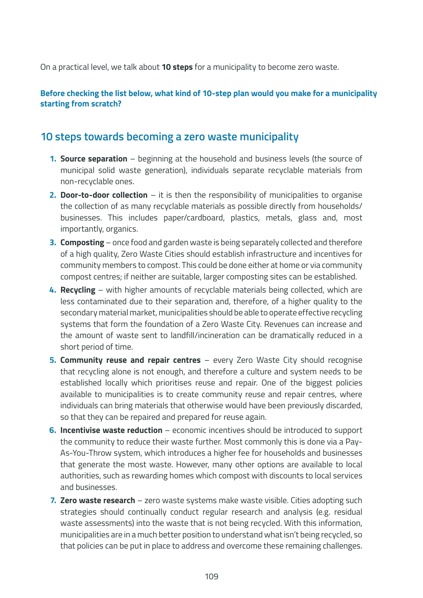On a practical level, we talk about **10 steps** for a municipality to become zero waste.

#### **Before checking the list below, what kind of 10-step plan would you make for a municipality starting from scratch?**

## **10 steps towards becoming a zero waste municipality**

- **1. Source separation** beginning at the household and business levels (the source of municipal solid waste generation), individuals separate recyclable materials from non-recyclable ones.
- **2. Door-to-door collection** it is then the responsibility of municipalities to organise the collection of as many recyclable materials as possible directly from households/ businesses. This includes paper/cardboard, plastics, metals, glass and, most importantly, organics.
- **3. Composting** once food and garden waste is being separately collected and therefore of a high quality, Zero Waste Cities should establish infrastructure and incentives for community members to compost. This could be done either at home or via community compost centres; if neither are suitable, larger composting sites can be established.
- **4. Recycling** with higher amounts of recyclable materials being collected, which are less contaminated due to their separation and, therefore, of a higher quality to the secondary material market, municipalities should be able to operate effective recycling systems that form the foundation of a Zero Waste City. Revenues can increase and the amount of waste sent to landfill/incineration can be dramatically reduced in a short period of time.
- **5. Community reuse and repair centres** every Zero Waste City should recognise that recycling alone is not enough, and therefore a culture and system needs to be established locally which prioritises reuse and repair. One of the biggest policies available to municipalities is to create community reuse and repair centres, where individuals can bring materials that otherwise would have been previously discarded, so that they can be repaired and prepared for reuse again.
- **6. Incentivise waste reduction** economic incentives should be introduced to support the community to reduce their waste further. Most commonly this is done via a Pay-As-You-Throw system, which introduces a higher fee for households and businesses that generate the most waste. However, many other options are available to local authorities, such as rewarding homes which compost with discounts to local services and businesses.
- **7. Zero waste research** zero waste systems make waste visible. Cities adopting such strategies should continually conduct regular research and analysis (e.g. residual waste assessments) into the waste that is not being recycled. With this information, municipalities are in a much better position to understand what isn't being recycled, so that policies can be put in place to address and overcome these remaining challenges.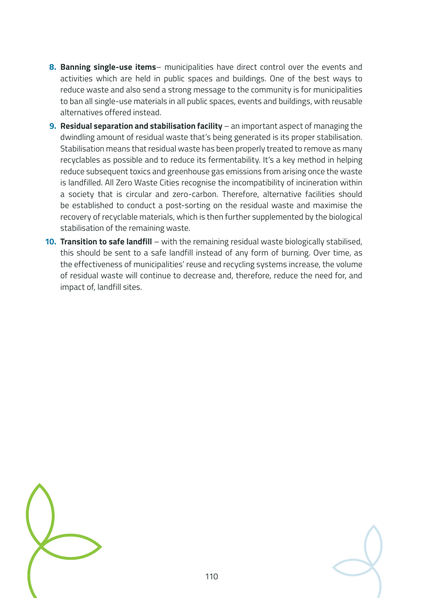- **8. Banning single-use items** municipalities have direct control over the events and activities which are held in public spaces and buildings. One of the best ways to reduce waste and also send a strong message to the community is for municipalities to ban all single-use materials in all public spaces, events and buildings, with reusable alternatives offered instead.
- **9. Residual separation and stabilisation facility** an important aspect of managing the dwindling amount of residual waste that's being generated is its proper stabilisation. Stabilisation means that residual waste has been properly treated to remove as many recyclables as possible and to reduce its fermentability. It's a key method in helping reduce subsequent toxics and greenhouse gas emissions from arising once the waste is landfilled. All Zero Waste Cities recognise the incompatibility of incineration within a society that is circular and zero-carbon. Therefore, alternative facilities should be established to conduct a post-sorting on the residual waste and maximise the recovery of recyclable materials, which is then further supplemented by the biological stabilisation of the remaining waste.
- **10. Transition to safe landfill** with the remaining residual waste biologically stabilised, this should be sent to a safe landfill instead of any form of burning. Over time, as the effectiveness of municipalities' reuse and recycling systems increase, the volume of residual waste will continue to decrease and, therefore, reduce the need for, and impact of, landfill sites.



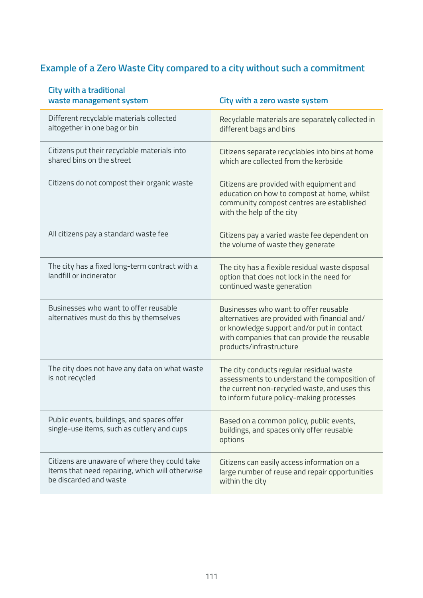# **Example of a Zero Waste City compared to a city without such a commitment**

| <b>City with a traditional</b><br>waste management system |                                                                                                  | City with a zero waste system                                                                                                                                                                                   |
|-----------------------------------------------------------|--------------------------------------------------------------------------------------------------|-----------------------------------------------------------------------------------------------------------------------------------------------------------------------------------------------------------------|
| altogether in one bag or bin                              | Different recyclable materials collected                                                         | Recyclable materials are separately collected in<br>different bags and bins                                                                                                                                     |
| shared bins on the street                                 | Citizens put their recyclable materials into                                                     | Citizens separate recyclables into bins at home<br>which are collected from the kerbside                                                                                                                        |
|                                                           | Citizens do not compost their organic waste                                                      | Citizens are provided with equipment and<br>education on how to compost at home, whilst<br>community compost centres are established<br>with the help of the city                                               |
|                                                           | All citizens pay a standard waste fee                                                            | Citizens pay a varied waste fee dependent on<br>the volume of waste they generate                                                                                                                               |
| landfill or incinerator                                   | The city has a fixed long-term contract with a                                                   | The city has a flexible residual waste disposal<br>option that does not lock in the need for<br>continued waste generation                                                                                      |
|                                                           | Businesses who want to offer reusable<br>alternatives must do this by themselves                 | Businesses who want to offer reusable<br>alternatives are provided with financial and/<br>or knowledge support and/or put in contact<br>with companies that can provide the reusable<br>products/infrastructure |
| is not recycled                                           | The city does not have any data on what waste                                                    | The city conducts regular residual waste<br>assessments to understand the composition of<br>the current non-recycled waste, and uses this<br>to inform future policy-making processes                           |
|                                                           | Public events, buildings, and spaces offer<br>single-use items, such as cutlery and cups         | Based on a common policy, public events,<br>buildings, and spaces only offer reusable<br>options                                                                                                                |
| be discarded and waste                                    | Citizens are unaware of where they could take<br>Items that need repairing, which will otherwise | Citizens can easily access information on a<br>large number of reuse and repair opportunities<br>within the city                                                                                                |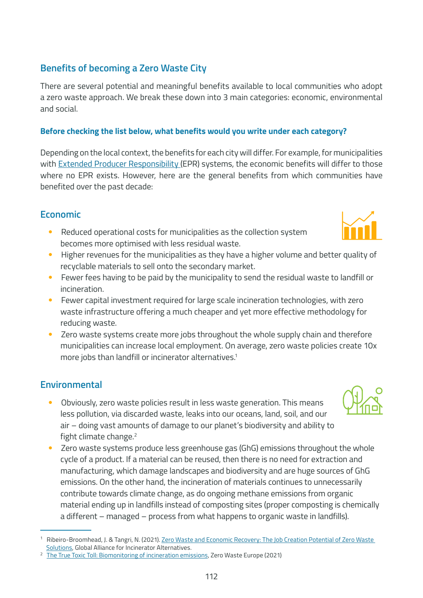# **Benefits of becoming a Zero Waste City**

There are several potential and meaningful benefits available to local communities who adopt a zero waste approach. We break these down into 3 main categories: economic, environmental and social.

#### **Before checking the list below, what benefits would you write under each category?**

Depending on the local context, the benefits for each city will differ. For example, for municipalities with [Extended Producer Responsibility \(](https://rethinkplasticalliance.eu/wp-content/uploads/2021/08/Ecologic-report-EPR-and-ecomodulation-August2021-1.pdf)EPR) systems, the economic benefits will differ to those where no EPR exists. However, here are the general benefits from which communities have benefited over the past decade:

### **Economic**

- Reduced operational costs for municipalities as the collection system becomes more optimised with less residual waste.
- Higher revenues for the municipalities as they have a higher volume and better quality of recyclable materials to sell onto the secondary market.
- Fewer fees having to be paid by the municipality to send the residual waste to landfill or incineration.
- Fewer capital investment required for large scale incineration technologies, with zero waste infrastructure offering a much cheaper and yet more effective methodology for reducing waste.
- Zero waste systems create more jobs throughout the whole supply chain and therefore municipalities can increase local employment. On average, zero waste policies create 10x more jobs than landfill or incinerator alternatives.<sup>1</sup>

## **Environmental**

- Obviously, zero waste policies result in less waste generation. This means less pollution, via discarded waste, leaks into our oceans, land, soil, and our air – doing vast amounts of damage to our planet's biodiversity and ability to fight climate change.<sup>2</sup>
- Zero waste systems produce less greenhouse gas (GhG) emissions throughout the whole cycle of a product. If a material can be reused, then there is no need for extraction and manufacturing, which damage landscapes and biodiversity and are huge sources of GhG emissions. On the other hand, the incineration of materials continues to unnecessarily contribute towards climate change, as do ongoing methane emissions from organic material ending up in landfills instead of composting sites (proper composting is chemically a different – managed – process from what happens to organic waste in landfills).





<sup>1</sup> Ribeiro-Broomhead, J. & Tangri, N. (2021). [Zero Waste and Economic Recovery: The Job Creation Potential of Zero Waste](https://zerowasteworld.org/wp-content/uploads/Jobs-Report-ENGLISH-2.pdf)  [Solutions,](https://zerowasteworld.org/wp-content/uploads/Jobs-Report-ENGLISH-2.pdf) Global Alliance for Incinerator Alternatives.

<sup>&</sup>lt;sup>2</sup> [The True Toxic Toll: Biomonitoring of incineration emissions,](https://zerowasteeurope.eu/library/the-true-toxic-toll-biomonitoring-of-incineration-emissions/) Zero Waste Europe (2021)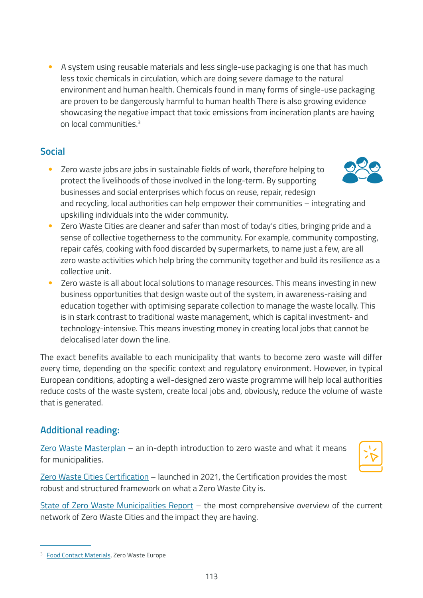• A system using reusable materials and less single-use packaging is one that has much less toxic chemicals in circulation, which are doing severe damage to the natural environment and human health. Chemicals found in many forms of single-use packaging are proven to be dangerously harmful to human health There is also growing evidence showcasing the negative impact that toxic emissions from incineration plants are having on local communities<sup>3</sup>

## **Social**

• Zero waste jobs are jobs in sustainable fields of work, therefore helping to protect the livelihoods of those involved in the long-term. By supporting businesses and social enterprises which focus on reuse, repair, redesign and recycling, local authorities can help empower their communities – integrating and upskilling individuals into the wider community.



- Zero Waste Cities are cleaner and safer than most of today's cities, bringing pride and a sense of collective togetherness to the community. For example, community composting, repair cafés, cooking with food discarded by supermarkets, to name just a few, are all zero waste activities which help bring the community together and build its resilience as a collective unit.
- Zero waste is all about local solutions to manage resources. This means investing in new business opportunities that design waste out of the system, in awareness-raising and education together with optimising separate collection to manage the waste locally. This is in stark contrast to traditional waste management, which is capital investment- and technology-intensive. This means investing money in creating local jobs that cannot be delocalised later down the line.

The exact benefits available to each municipality that wants to become zero waste will differ every time, depending on the specific context and regulatory environment. However, in typical European conditions, adopting a well-designed zero waste programme will help local authorities reduce costs of the waste system, create local jobs and, obviously, reduce the volume of waste that is generated.

# **Additional reading:**

[Zero Waste Masterplan](https://zerowastecities.eu/learn/#the_masterplan) – an in-depth introduction to zero waste and what it means for municipalities.



[Zero Waste Cities Certification](https://www.missionzeroacademy.eu/municipalities/zero-waste-cities-certification/) – launched in 2021, the Certification provides the most robust and structured framework on what a Zero Waste City is.

[State of Zero Waste Municipalities Report](https://zerowastecities.eu/learn/reports) – the most comprehensive overview of the current network of Zero Waste Cities and the impact they are having.

<sup>&</sup>lt;sup>3</sup> [Food Contact Materials,](https://zerowasteeurope.eu/our-work/eu-policy/product-redesign/food-contact-materials) Zero Waste Europe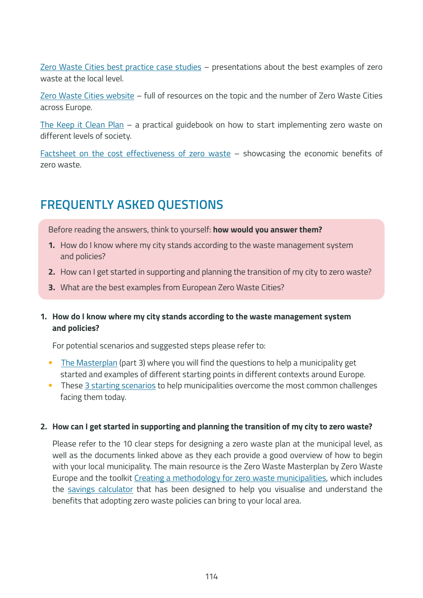[Zero Waste Cities best practice case studies](https://zerowastecities.eu/best-practices/) - presentations about the best examples of zero waste at the local level.

[Zero Waste Cities website](https://zerowastecities.eu/) – full of resources on the topic and the number of Zero Waste Cities across Europe.

[The Keep it Clean Plan](https://letsdoitfoundation.org/wp-content/uploads/2021/02/Keep-It-Clean-Plan2020_LDIF.pdf) – a practical guidebook on how to start implementing zero waste on different levels of society.

[Factsheet on the cost effectiveness of zero waste](https://www.no-burn.org/wp-content/uploads/2021/11/Zero-Waste-Cost-Effectiveness-Fact-SheetENGLISH-1-1.pdf) – showcasing the economic benefits of zero waste.

# **FREQUENTLY ASKED QUESTIONS**

Before reading the answers, think to yourself: **how would you answer them?**

- **1.** How do I know where my city stands according to the waste management system and policies?
- **2.** How can I get started in supporting and planning the transition of my city to zero waste?
- **3.** What are the best examples from European Zero Waste Cities?

#### **1. How do I know where my city stands according to the waste management system and policies?**

For potential scenarios and suggested steps please refer to:

- [The Masterplan](https://zerowastecities.eu/learn/#the_masterplan) (part 3) where you will find the questions to help a municipality get started and examples of different starting points in different contexts around Europe.
- These [3 starting scenarios](https://zerowastecities.eu/tools/starting-scenarios-to-become-a-zero-waste-city/) to help municipalities overcome the most common challenges facing them today.

#### **2. How can I get started in supporting and planning the transition of my city to zero waste?**

Please refer to the 10 clear steps for designing a zero waste plan at the municipal level, as well as the documents linked above as they each provide a good overview of how to begin with your local municipality. The main resource is the Zero Waste Masterplan by Zero Waste Europe and the toolkit [Creating a methodology for zero waste municipalities](https://zerowastecities.eu/tools/creating-a-methodology-for-zero-waste-municipalities/), which includes the [savings calculator](https://zerowastecities.eu/tools/savings-calculator/) that has been designed to help you visualise and understand the benefits that adopting zero waste policies can bring to your local area.